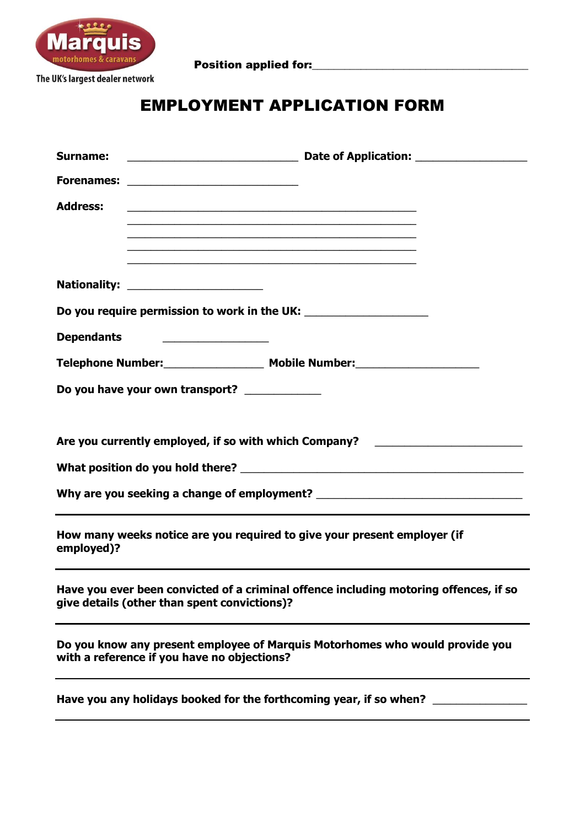

Position applied for:\_\_\_\_\_\_\_\_\_\_\_\_\_\_\_\_\_\_\_\_\_\_\_\_\_\_\_\_\_\_\_\_\_\_\_\_\_\_\_\_

# EMPLOYMENT APPLICATION FORM

| Surname:          |                                                                                                                       |                                                                                                                      |  |
|-------------------|-----------------------------------------------------------------------------------------------------------------------|----------------------------------------------------------------------------------------------------------------------|--|
|                   |                                                                                                                       |                                                                                                                      |  |
| <b>Address:</b>   |                                                                                                                       |                                                                                                                      |  |
|                   |                                                                                                                       | <u> 1989 - Johann Barbara, marka a shekara ta 1989 - An tsara tsa a shekara tsa a shekara tsa a tsa a tsa a tsa </u> |  |
|                   |                                                                                                                       |                                                                                                                      |  |
|                   |                                                                                                                       |                                                                                                                      |  |
|                   |                                                                                                                       |                                                                                                                      |  |
| <b>Dependants</b> | <u> 1989 - Johann Harry Harry Harry Harry Harry Harry Harry Harry Harry Harry Harry Harry Harry Harry Harry Harry</u> |                                                                                                                      |  |
|                   |                                                                                                                       |                                                                                                                      |  |
|                   | Do you have your own transport? ____________                                                                          |                                                                                                                      |  |
|                   |                                                                                                                       |                                                                                                                      |  |
|                   |                                                                                                                       | Are you currently employed, if so with which Company? __________________________                                     |  |
|                   |                                                                                                                       |                                                                                                                      |  |
|                   |                                                                                                                       |                                                                                                                      |  |
| employed)?        |                                                                                                                       | How many weeks notice are you required to give your present employer (if                                             |  |
|                   | give details (other than spent convictions)?                                                                          | Have you ever been convicted of a criminal offence including motoring offences, if so                                |  |
|                   | with a reference if you have no objections?                                                                           | Do you know any present employee of Marquis Motorhomes who would provide you                                         |  |
|                   | Have you any holidays booked for the forthcoming year, if so when?                                                    |                                                                                                                      |  |
|                   |                                                                                                                       |                                                                                                                      |  |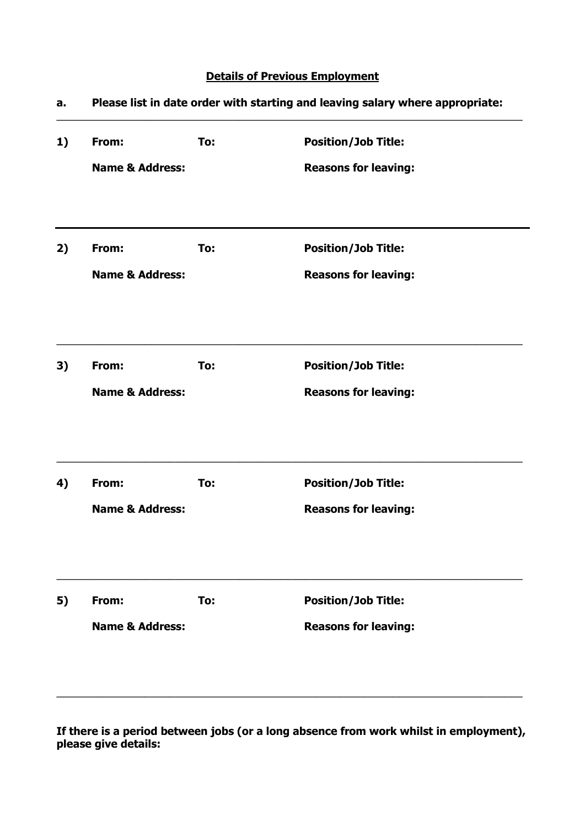## **Details of Previous Employment**

| a. | Please list in date order with starting and leaving salary where appropriate: |     |                             |  |
|----|-------------------------------------------------------------------------------|-----|-----------------------------|--|
| 1) | From:                                                                         | To: | <b>Position/Job Title:</b>  |  |
|    | <b>Name &amp; Address:</b>                                                    |     | <b>Reasons for leaving:</b> |  |
| 2) | From:                                                                         | To: | <b>Position/Job Title:</b>  |  |
|    | <b>Name &amp; Address:</b>                                                    |     | <b>Reasons for leaving:</b> |  |
| 3) | From:                                                                         | To: | <b>Position/Job Title:</b>  |  |
|    | <b>Name &amp; Address:</b>                                                    |     | <b>Reasons for leaving:</b> |  |
| 4) | From:                                                                         | To: | <b>Position/Job Title:</b>  |  |
|    | <b>Name &amp; Address:</b>                                                    |     | <b>Reasons for leaving:</b> |  |
| 5) | From:                                                                         | To: | <b>Position/Job Title:</b>  |  |
|    | <b>Name &amp; Address:</b>                                                    |     | <b>Reasons for leaving:</b> |  |

**If there is a period between jobs (or a long absence from work whilst in employment), please give details:**

 $\_$  , and the set of the set of the set of the set of the set of the set of the set of the set of the set of the set of the set of the set of the set of the set of the set of the set of the set of the set of the set of th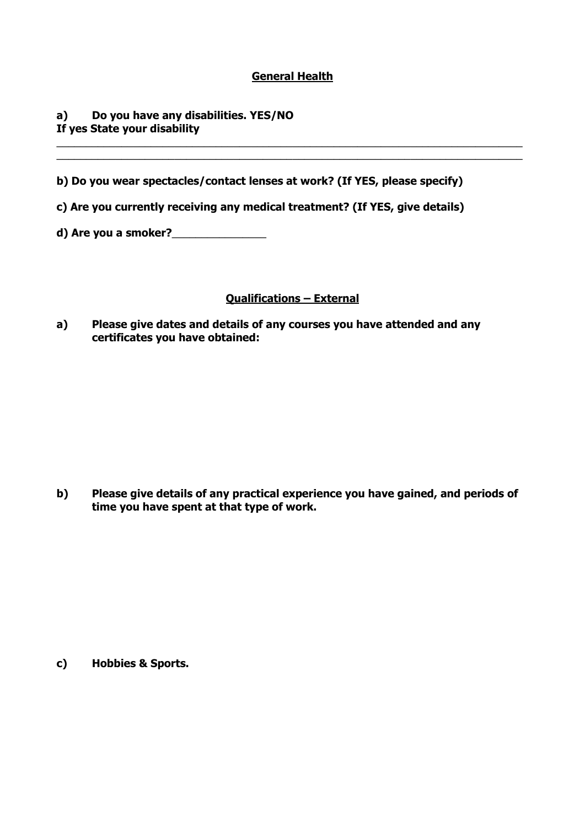### **General Health**

 $\_$  , and the set of the set of the set of the set of the set of the set of the set of the set of the set of the set of the set of the set of the set of the set of the set of the set of the set of the set of the set of th  $\_$  , and the set of the set of the set of the set of the set of the set of the set of the set of the set of the set of the set of the set of the set of the set of the set of the set of the set of the set of the set of th

### **a) Do you have any disabilities. YES/NO If yes State your disability**

**b) Do you wear spectacles/contact lenses at work? (If YES, please specify)**

- **c) Are you currently receiving any medical treatment? (If YES, give details)**
- **d) Are you a smoker?**\_\_\_\_\_\_\_\_\_\_\_\_\_\_\_\_

#### **Qualifications – External**

**a) Please give dates and details of any courses you have attended and any certificates you have obtained:**

**b) Please give details of any practical experience you have gained, and periods of time you have spent at that type of work.**

**c) Hobbies & Sports.**